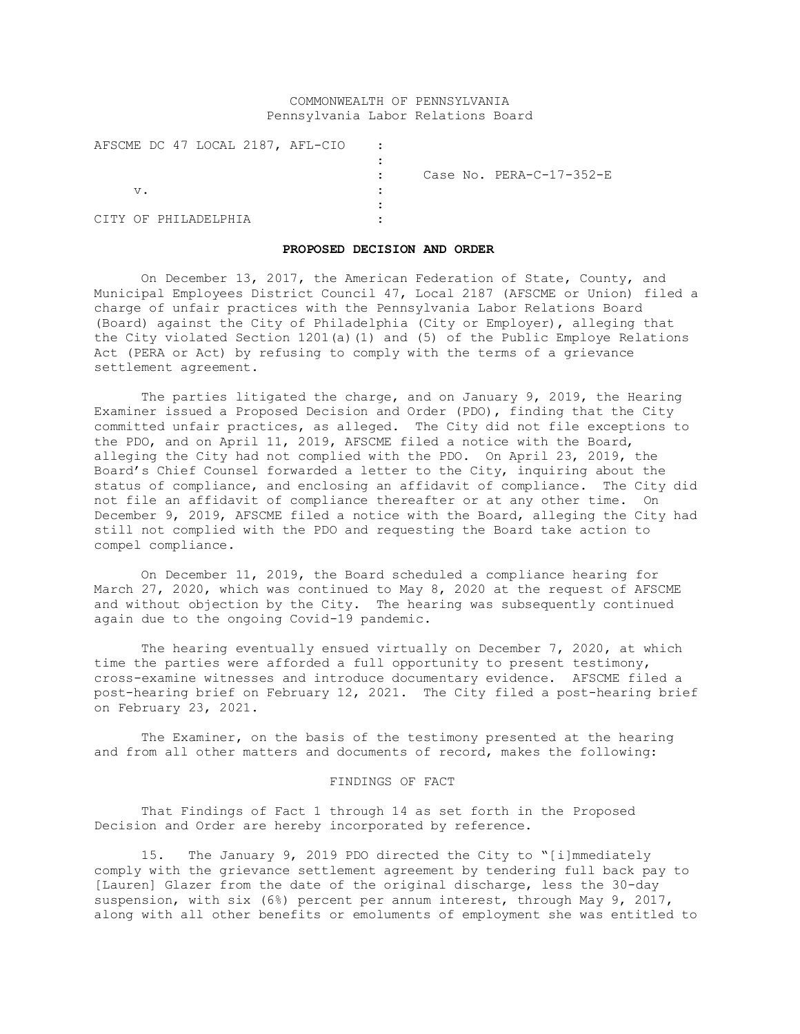## COMMONWEALTH OF PENNSYLVANIA Pennsylvania Labor Relations Board

AFSCME DC 47 LOCAL 2187, AFL-CIO : : : Case No. PERA-C-17-352-E  $\mathbf v$ .  $\qquad \qquad \vdots$ : CITY OF PHILADELPHIA  $\qquad \qquad :$ 

### **PROPOSED DECISION AND ORDER**

On December 13, 2017, the American Federation of State, County, and Municipal Employees District Council 47, Local 2187 (AFSCME or Union) filed a charge of unfair practices with the Pennsylvania Labor Relations Board (Board) against the City of Philadelphia (City or Employer), alleging that the City violated Section 1201(a)(1) and (5) of the Public Employe Relations Act (PERA or Act) by refusing to comply with the terms of a grievance settlement agreement.

The parties litigated the charge, and on January 9, 2019, the Hearing Examiner issued a Proposed Decision and Order (PDO), finding that the City committed unfair practices, as alleged. The City did not file exceptions to the PDO, and on April 11, 2019, AFSCME filed a notice with the Board, alleging the City had not complied with the PDO. On April 23, 2019, the Board's Chief Counsel forwarded a letter to the City, inquiring about the status of compliance, and enclosing an affidavit of compliance. The City did not file an affidavit of compliance thereafter or at any other time. On December 9, 2019, AFSCME filed a notice with the Board, alleging the City had still not complied with the PDO and requesting the Board take action to compel compliance.

On December 11, 2019, the Board scheduled a compliance hearing for March 27, 2020, which was continued to May 8, 2020 at the request of AFSCME and without objection by the City. The hearing was subsequently continued again due to the ongoing Covid-19 pandemic.

The hearing eventually ensued virtually on December 7, 2020, at which time the parties were afforded a full opportunity to present testimony, cross-examine witnesses and introduce documentary evidence. AFSCME filed a post-hearing brief on February 12, 2021. The City filed a post-hearing brief on February 23, 2021.

The Examiner, on the basis of the testimony presented at the hearing and from all other matters and documents of record, makes the following:

#### FINDINGS OF FACT

That Findings of Fact 1 through 14 as set forth in the Proposed Decision and Order are hereby incorporated by reference.

15. The January 9, 2019 PDO directed the City to "[i]mmediately comply with the grievance settlement agreement by tendering full back pay to [Lauren] Glazer from the date of the original discharge, less the 30-day suspension, with six (6%) percent per annum interest, through May 9, 2017, along with all other benefits or emoluments of employment she was entitled to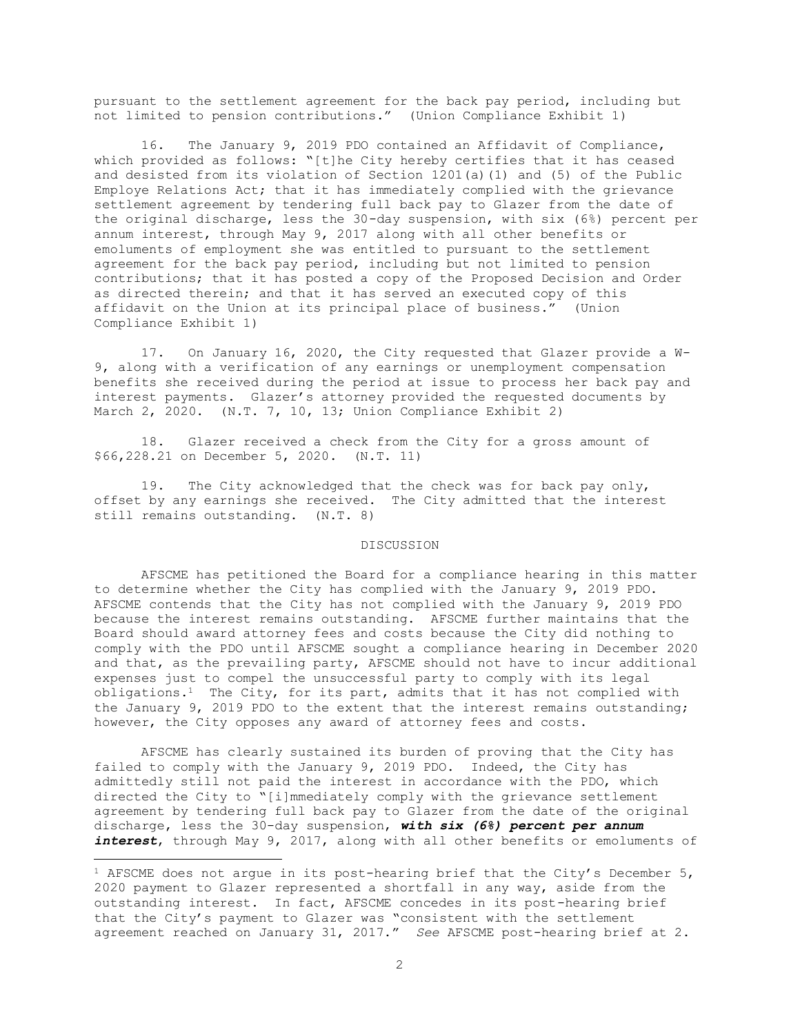pursuant to the settlement agreement for the back pay period, including but not limited to pension contributions." (Union Compliance Exhibit 1)

16. The January 9, 2019 PDO contained an Affidavit of Compliance, which provided as follows: "[t]he City hereby certifies that it has ceased and desisted from its violation of Section 1201(a)(1) and (5) of the Public Employe Relations Act; that it has immediately complied with the grievance settlement agreement by tendering full back pay to Glazer from the date of the original discharge, less the 30-day suspension, with six (6%) percent per annum interest, through May 9, 2017 along with all other benefits or emoluments of employment she was entitled to pursuant to the settlement agreement for the back pay period, including but not limited to pension contributions; that it has posted a copy of the Proposed Decision and Order as directed therein; and that it has served an executed copy of this affidavit on the Union at its principal place of business." (Union Compliance Exhibit 1)

17. On January 16, 2020, the City requested that Glazer provide a W-9, along with a verification of any earnings or unemployment compensation benefits she received during the period at issue to process her back pay and interest payments. Glazer's attorney provided the requested documents by March 2, 2020. (N.T. 7, 10, 13; Union Compliance Exhibit 2)

18. Glazer received a check from the City for a gross amount of \$66,228.21 on December 5, 2020. (N.T. 11)

19. The City acknowledged that the check was for back pay only, offset by any earnings she received. The City admitted that the interest still remains outstanding. (N.T. 8)

#### DISCUSSION

AFSCME has petitioned the Board for a compliance hearing in this matter to determine whether the City has complied with the January 9, 2019 PDO. AFSCME contends that the City has not complied with the January 9, 2019 PDO because the interest remains outstanding. AFSCME further maintains that the Board should award attorney fees and costs because the City did nothing to comply with the PDO until AFSCME sought a compliance hearing in December 2020 and that, as the prevailing party, AFSCME should not have to incur additional expenses just to compel the unsuccessful party to comply with its legal obligations.1 The City, for its part, admits that it has not complied with the January 9, 2019 PDO to the extent that the interest remains outstanding; however, the City opposes any award of attorney fees and costs.

AFSCME has clearly sustained its burden of proving that the City has failed to comply with the January 9, 2019 PDO. Indeed, the City has admittedly still not paid the interest in accordance with the PDO, which directed the City to "[i]mmediately comply with the grievance settlement agreement by tendering full back pay to Glazer from the date of the original discharge, less the 30-day suspension, *with six (6%) percent per annum interest*, through May 9, 2017, along with all other benefits or emoluments of

<sup>&</sup>lt;sup>1</sup> AFSCME does not argue in its post-hearing brief that the City's December  $5$ , 2020 payment to Glazer represented a shortfall in any way, aside from the outstanding interest. In fact, AFSCME concedes in its post-hearing brief that the City's payment to Glazer was "consistent with the settlement agreement reached on January 31, 2017." *See* AFSCME post-hearing brief at 2.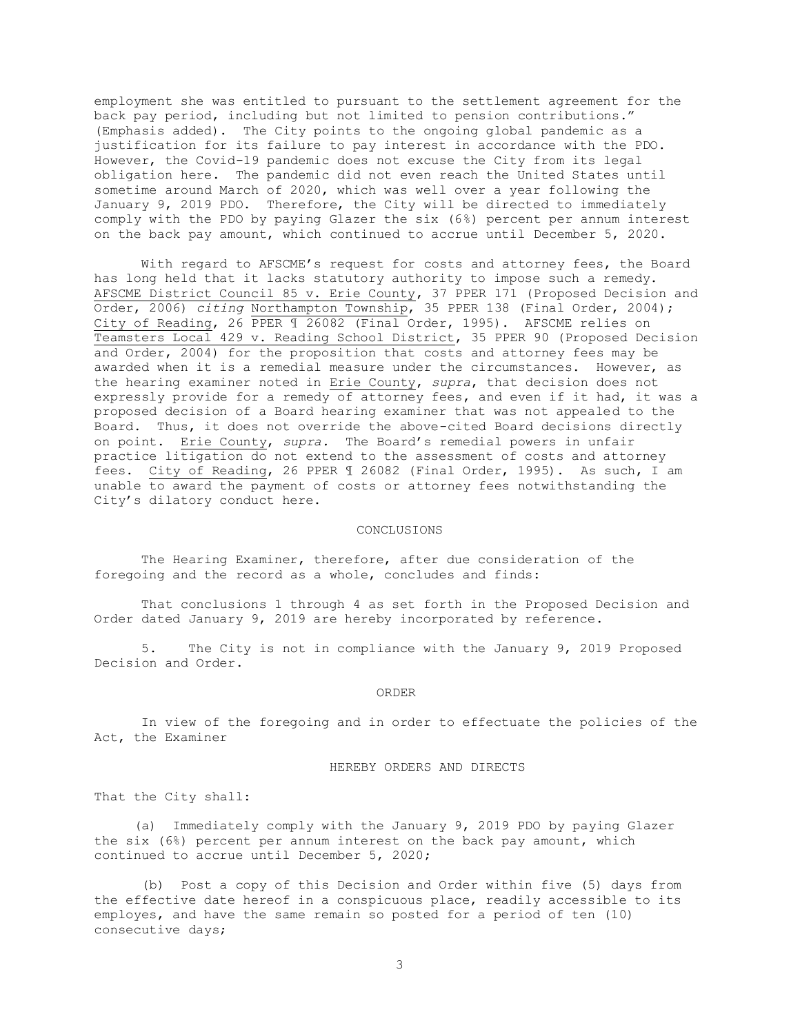employment she was entitled to pursuant to the settlement agreement for the back pay period, including but not limited to pension contributions." (Emphasis added). The City points to the ongoing global pandemic as a justification for its failure to pay interest in accordance with the PDO. However, the Covid-19 pandemic does not excuse the City from its legal obligation here. The pandemic did not even reach the United States until sometime around March of 2020, which was well over a year following the January 9, 2019 PDO. Therefore, the City will be directed to immediately comply with the PDO by paying Glazer the six (6%) percent per annum interest on the back pay amount, which continued to accrue until December 5, 2020.

With regard to AFSCME's request for costs and attorney fees, the Board has long held that it lacks statutory authority to impose such a remedy. AFSCME District Council 85 v. Erie County, 37 PPER 171 (Proposed Decision and Order, 2006) *citing* Northampton Township, 35 PPER 138 (Final Order, 2004); City of Reading, 26 PPER ¶ 26082 (Final Order, 1995). AFSCME relies on Teamsters Local 429 v. Reading School District, 35 PPER 90 (Proposed Decision and Order, 2004) for the proposition that costs and attorney fees may be awarded when it is a remedial measure under the circumstances. However, as the hearing examiner noted in Erie County, *supra*, that decision does not expressly provide for a remedy of attorney fees, and even if it had, it was a proposed decision of a Board hearing examiner that was not appealed to the Board. Thus, it does not override the above-cited Board decisions directly on point. Erie County, *supra.* The Board's remedial powers in unfair practice litigation do not extend to the assessment of costs and attorney fees. City of Reading, 26 PPER ¶ 26082 (Final Order, 1995). As such, I am unable to award the payment of costs or attorney fees notwithstanding the City's dilatory conduct here.

#### CONCLUSIONS

The Hearing Examiner, therefore, after due consideration of the foregoing and the record as a whole, concludes and finds:

That conclusions 1 through 4 as set forth in the Proposed Decision and Order dated January 9, 2019 are hereby incorporated by reference.

5. The City is not in compliance with the January 9, 2019 Proposed Decision and Order.

#### ORDER

In view of the foregoing and in order to effectuate the policies of the Act, the Examiner

#### HEREBY ORDERS AND DIRECTS

That the City shall:

 (a) Immediately comply with the January 9, 2019 PDO by paying Glazer the six (6%) percent per annum interest on the back pay amount, which continued to accrue until December 5, 2020;

(b) Post a copy of this Decision and Order within five (5) days from the effective date hereof in a conspicuous place, readily accessible to its employes, and have the same remain so posted for a period of ten (10) consecutive days;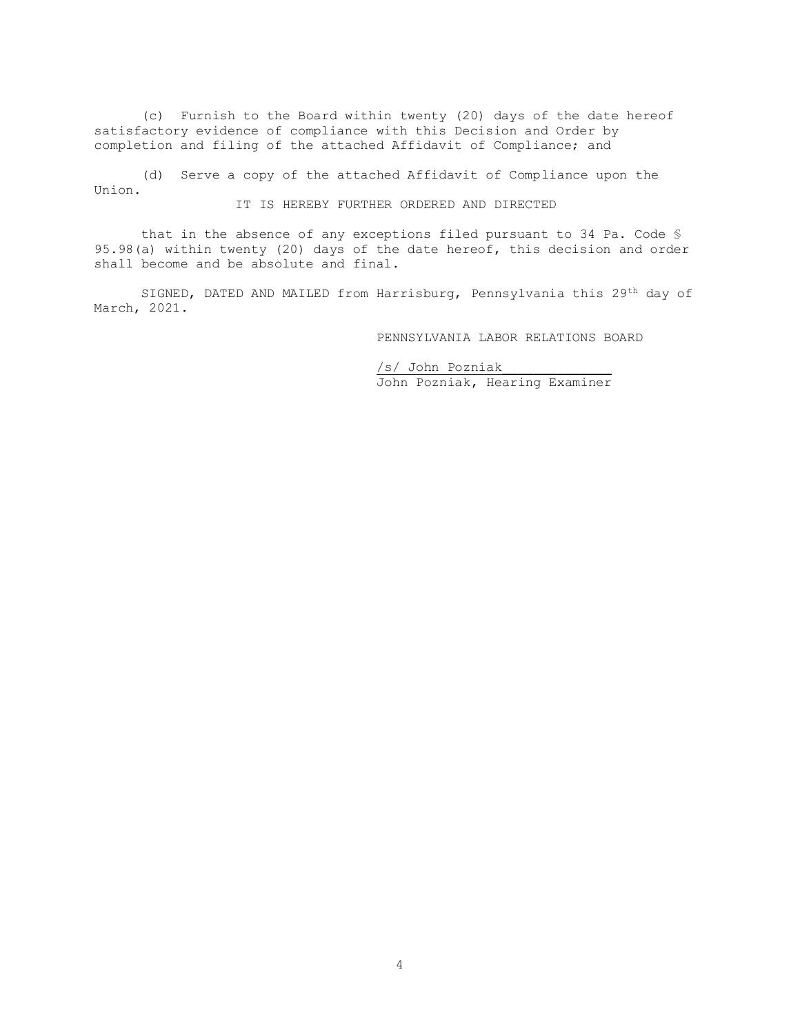(c) Furnish to the Board within twenty (20) days of the date hereof satisfactory evidence of compliance with this Decision and Order by completion and filing of the attached Affidavit of Compliance; and

(d) Serve a copy of the attached Affidavit of Compliance upon the Union.

# IT IS HEREBY FURTHER ORDERED AND DIRECTED

that in the absence of any exceptions filed pursuant to 34 Pa. Code § 95.98(a) within twenty (20) days of the date hereof, this decision and order shall become and be absolute and final.

SIGNED, DATED AND MAILED from Harrisburg, Pennsylvania this 29<sup>th</sup> day of March, 2021.

PENNSYLVANIA LABOR RELATIONS BOARD

/s/ John Pozniak\_\_\_\_\_\_\_\_\_\_\_\_\_\_ John Pozniak, Hearing Examiner